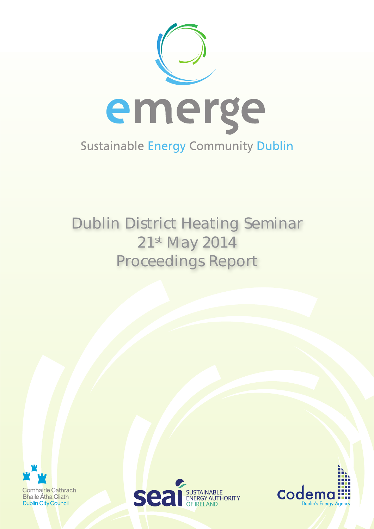

# Dublin District Heating Seminar 21st May 2014 Proceedings Report





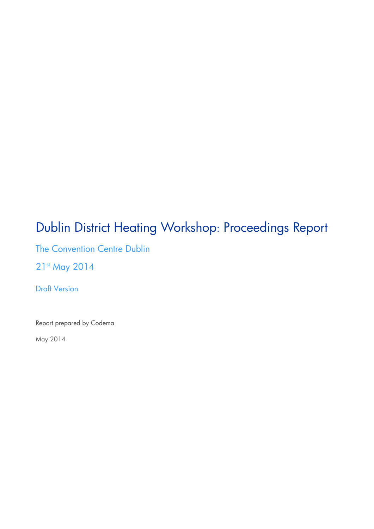## Dublin District Heating Workshop: Proceedings Report

The Convention Centre Dublin

21st May 2014

Draft Version

Report prepared by Codema

May 2014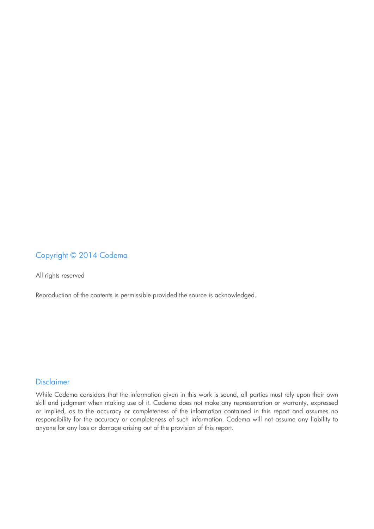## Copyright © 2014 Codema

All rights reserved

Reproduction of the contents is permissible provided the source is acknowledged.

#### Disclaimer

While Codema considers that the information given in this work is sound, all parties must rely upon their own skill and judgment when making use of it. Codema does not make any representation or warranty, expressed or implied, as to the accuracy or completeness of the information contained in this report and assumes no responsibility for the accuracy or completeness of such information. Codema will not assume any liability to anyone for any loss or damage arising out of the provision of this report.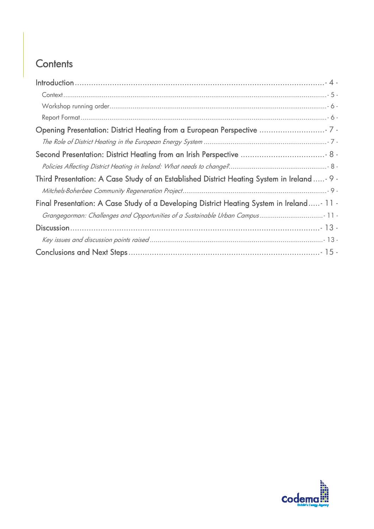## **Contents**

| Third Presentation: A Case Study of an Established District Heating System in Ireland - 9 - |
|---------------------------------------------------------------------------------------------|
|                                                                                             |
| Final Presentation: A Case Study of a Developing District Heating System in Ireland- 11 -   |
|                                                                                             |
|                                                                                             |
|                                                                                             |
|                                                                                             |

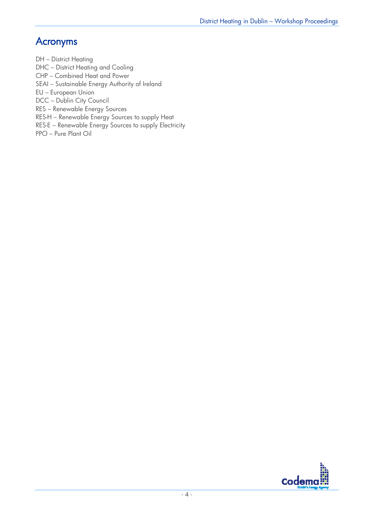## Acronyms

DH – District Heating

DHC – District Heating and Cooling

CHP – Combined Heat and Power

SEAI – Sustainable Energy Authority of Ireland

EU – European Union

DCC – Dublin City Council

RES – Renewable Energy Sources

RES-H – Renewable Energy Sources to supply Heat

RES-E – Renewable Energy Sources to supply Electricity

PPO – Pure Plant Oil

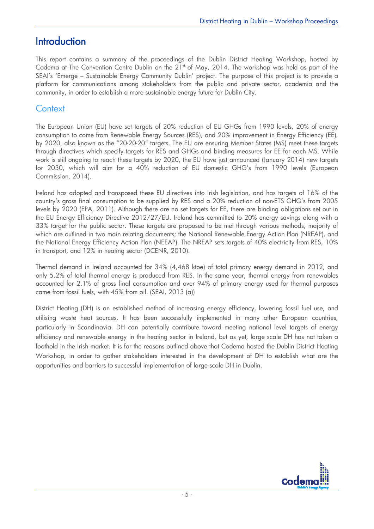## **Introduction**

This report contains a summary of the proceedings of the Dublin District Heating Workshop, hosted by Codema at The Convention Centre Dublin on the 21<sup>st</sup> of May, 2014. The workshop was held as part of the SEAI's 'Emerge – Sustainable Energy Community Dublin' project. The purpose of this project is to provide a platform for communications among stakeholders from the public and private sector, academia and the community, in order to establish a more sustainable energy future for Dublin City.

## **Context**

The European Union (EU) have set targets of 20% reduction of EU GHGs from 1990 levels, 20% of energy consumption to come from Renewable Energy Sources (RES), and 20% improvement in Energy Efficiency (EE), by 2020, also known as the "20-20-20" targets. The EU are ensuring Member States (MS) meet these targets through directives which specify targets for RES and GHGs and binding measures for EE for each MS. While work is still ongoing to reach these targets by 2020, the EU have just announced (January 2014) new targets for 2030, which will aim for a 40% reduction of EU domestic GHG's from 1990 levels (European Commission, 2014).

Ireland has adopted and transposed these EU directives into Irish legislation, and has targets of 16% of the country's gross final consumption to be supplied by RES and a 20% reduction of non-ETS GHG's from 2005 levels by 2020 (EPA, 2011). Although there are no set targets for EE, there are binding obligations set out in the EU Energy Efficiency Directive 2012/27/EU. Ireland has committed to 20% energy savings along with a 33% target for the public sector. These targets are proposed to be met through various methods, majority of which are outlined in two main relating documents; the National Renewable Energy Action Plan (NREAP), and the National Energy Efficiency Action Plan (NEEAP). The NREAP sets targets of 40% electricity from RES, 10% in transport, and 12% in heating sector (DCENR, 2010).

Thermal demand in Ireland accounted for 34% (4,468 ktoe) of total primary energy demand in 2012, and only 5.2% of total thermal energy is produced from RES. In the same year, thermal energy from renewables accounted for 2.1% of gross final consumption and over 94% of primary energy used for thermal purposes came from fossil fuels, with 45% from oil. (SEAI, 2013 (a))

District Heating (DH) is an established method of increasing energy efficiency, lowering fossil fuel use, and utilising waste heat sources. It has been successfully implemented in many other European countries, particularly in Scandinavia. DH can potentially contribute toward meeting national level targets of energy efficiency and renewable energy in the heating sector in Ireland, but as yet, large scale DH has not taken a foothold in the Irish market. It is for the reasons outlined above that Codema hosted the Dublin District Heating Workshop, in order to gather stakeholders interested in the development of DH to establish what are the opportunities and barriers to successful implementation of large scale DH in Dublin.

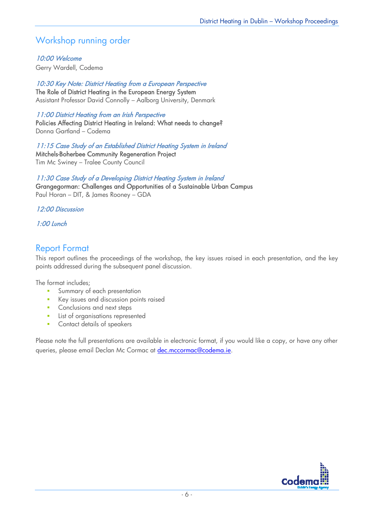## Workshop running order

### 10:00 Welcome

Gerry Wardell, Codema

10:30 Key Note: District Heating from a European Perspective The Role of District Heating in the European Energy System Assistant Professor David Connolly – Aalborg University, Denmark

### 11:00 District Heating from an Irish Perspective

Policies Affecting District Heating in Ireland: What needs to change? Donna Gartland – Codema

11:15 Case Study of an Established District Heating System in Ireland Mitchels-Boherbee Community Regeneration Project Tim Mc Swiney – Tralee County Council

11:30 Case Study of a Developing District Heating System in Ireland Grangegorman: Challenges and Opportunities of a Sustainable Urban Campus Paul Horan – DIT, & James Rooney – GDA

### 12:00 Discussion

### 1:00 Lunch

## Report Format

This report outlines the proceedings of the workshop, the key issues raised in each presentation, and the key points addressed during the subsequent panel discussion.

The format includes;

- **Summary of each presentation**
- Key issues and discussion points raised
- **Conclusions and next steps**
- **List of organisations represented**
- **Contact details of speakers**

Please note the full presentations are available in electronic format, if you would like a copy, or have any other queries, please email Declan Mc Cormac at dec.mccormac@codema.ie.

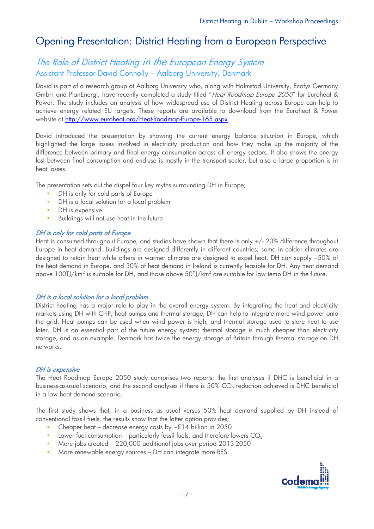## Opening Presentation: District Heating from a European Perspective

## The Role of District Heating in the European Energy System Assistant Professor David Connolly – Aalborg University, Denmark

David is part of a research group at Aalborg University who, along with Halmstad University, Ecofys Germany GmbH and PlanEnergi, have recently completed a study titled "Heat Roadmap Europe 2050" for Euroheat & Power. The study includes an analysis of how widespread use of District Heating across Europe can help to achieve energy related EU targets. These reports are available to download from the Euroheat & Power website at http://www.euroheat.org/Heat-Roadmap-Europe-165.aspx.

David introduced the presentation by showing the current energy balance situation in Europe, which highlighted the large losses involved in electricity production and how they make up the majority of the difference between primary and final energy consumption across all energy sectors. It also shows the energy lost between final consumption and end-use is mostly in the transport sector, but also a large proportion is in heat losses.

The presentation sets out the dispel four key myths surrounding DH in Europe;

- DH is only for cold parts of Europe
- **DH** is a local solution for a local problem
- **DH** is expensive
- **Buildings will not use heat in the future**

### DH is only for cold parts of Europe

Heat is consumed throughout Europe, and studies have shown that there is only +/- 20% difference throughout Europe in heat demand. Buildings are designed differently in different countries; some in colder climates are designed to retain heat while others in warmer climates are designed to expel heat. DH can supply ~50% of the heat demand in Europe, and 30% of heat demand in Ireland is currently feasible for DH. Any heat demand above 100TJ/km<sup>2</sup> is suitable for DH, and those above 50TJ/km<sup>2</sup> are suitable for low temp DH in the future.

### DH is a local solution for a local problem

District heating has a major role to play in the overall energy system. By integrating the heat and electricity markets using DH with CHP, heat pumps and thermal storage, DH can help to integrate more wind power onto the grid. Heat pumps can be used when wind power is high, and thermal storage used to store heat to use later. DH is an essential part of the future energy system; thermal storage is much cheaper than electricity storage, and as an example, Denmark has twice the energy storage of Britain through thermal storage on DH networks.

#### DH is expensive

The Heat Roadmap Europe 2050 study comprises two reports; the first analyses if DHC is beneficial in a business-as-usual scenario, and the second analyses if there is 50%  $CO<sub>2</sub>$  reduction achieved is DHC beneficial in a low heat demand scenario.

The first study shows that, in a business as usual versus 50% heat demand supplied by DH instead of conventional fossil fuels, the results show that the latter option provides;

- Cheaper heat decrease energy costs by  $\sim \epsilon$  14 billion in 2050
- **Lower fuel consumption particularly fossil fuels, and therefore lowers**  $CO<sub>2</sub>$
- More jobs created 220,000 additional jobs over period 2013-2050
- More renewable energy sources DH can integrate more RES

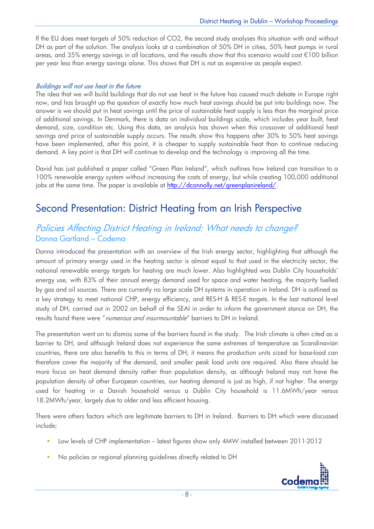If the EU does meet targets of 50% reduction of CO2, the second study analyses this situation with and without DH as part of the solution. The analysis looks at a combination of 50% DH in cities, 50% heat pumps in rural areas, and 35% energy savings in all locations, and the results show that this scenario would cost 100 billion per year less than energy savings alone. This shows that DH is not as expensive as people expect.

### Buildings will not use heat in the future

The idea that we will build buildings that do not use heat in the future has caused much debate in Europe right now, and has brought up the question of exactly how much heat savings should be put into buildings now. The answer is we should put in heat savings until the price of sustainable heat supply is less than the marginal price of additional savings. In Denmark, there is data on individual buildings scale, which includes year built, heat demand, size, condition etc. Using this data, an analysis has shown when this crossover of additional heat savings and price of sustainable supply occurs. The results show this happens after 30% to 50% heat savings have been implemented, after this point, it is cheaper to supply sustainable heat than to continue reducing demand. A key point is that DH will continue to develop and the technology is improving all the time.

David has just published a paper called "Green Plan Ireland", which outlines how Ireland can transition to a 100% renewable energy system without increasing the costs of energy, but while creating 100,000 additional jobs at the same time. The paper is available at http://dconnolly.net/greenplanireland/.

## Second Presentation: District Heating from an Irish Perspective

## Policies Affecting District Heating in Ireland: What needs to change? Donna Gartland – Codema

Donna introduced the presentation with an overview of the Irish energy sector, highlighting that although the amount of primary energy used in the heating sector is almost equal to that used in the electricity sector, the national renewable energy targets for heating are much lower. Also highlighted was Dublin City households' energy use, with 83% of their annual energy demand used for space and water heating, the majority fuelled by gas and oil sources. There are currently no large scale DH systems in operation in Ireland. DH is outlined as a key strategy to meet national CHP, energy efficiency, and RES-H & RES-E targets. In the last national level study of DH, carried out in 2002 on behalf of the SEAI in order to inform the government stance on DH, the results found there were "numerous and insurmountable" barriers to DH in Ireland.

The presentation went on to dismiss some of the barriers found in the study. The Irish climate is often cited as a barrier to DH, and although Ireland does not experience the same extremes of temperature as Scandinavian countries, there are also benefits to this in terms of DH; it means the production units sized for base-load can therefore cover the majority of the demand, and smaller peak load units are required. Also there should be more focus on heat demand density rather than population density, as although Ireland may not have the population density of other European countries, our heating demand is just as high, if not higher. The energy used for heating in a Danish household versus a Dublin City household is 11.6MWh/year versus 18.2MWh/year, largely due to older and less efficient housing.

There were others factors which are legitimate barriers to DH in Ireland. Barriers to DH which were discussed include;

- Low levels of CHP implementation latest figures show only 4MW installed between 2011-2012
- No policies or regional planning guidelines directly related to DH

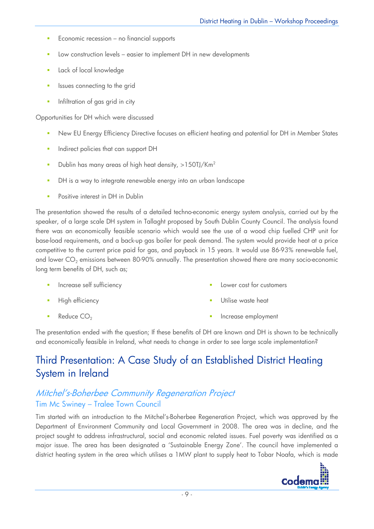- **Economic recession no financial supports**
- Low construction levels easier to implement DH in new developments
- Lack of local knowledge
- **In Itsues connecting to the grid**
- **Infiltration of gas grid in city**

Opportunities for DH which were discussed

- New EU Energy Efficiency Directive focuses on efficient heating and potential for DH in Member States
- **Indirect policies that can support DH**
- Dublin has many areas of high heat density,  $>150$ TJ/Km<sup>2</sup>
- **•** DH is a way to integrate renewable energy into an urban landscape
- Positive interest in DH in Dublin

The presentation showed the results of a detailed techno-economic energy system analysis, carried out by the speaker, of a large scale DH system in Tallaght proposed by South Dublin County Council. The analysis found there was an economically feasible scenario which would see the use of a wood chip fuelled CHP unit for base-load requirements, and a back-up gas boiler for peak demand. The system would provide heat at a price competitive to the current price paid for gas, and payback in 15 years. It would use 86-93% renewable fuel, and lower  $CO<sub>2</sub>$  emissions between 80-90% annually. The presentation showed there are many socio-economic long term benefits of DH, such as;

- Increase self sufficiency Lower cost for customers
- High efficiency

Increase employment

Utilise waste heat

Reduce  $CO<sub>2</sub>$ 

The presentation ended with the question; If these benefits of DH are known and DH is shown to be technically and economically feasible in Ireland, what needs to change in order to see large scale implementation?

## Third Presentation: A Case Study of an Established District Heating System in Ireland

## Mitchel's-Boherbee Community Regeneration Project Tim Mc Swiney – Tralee Town Council

Tim started with an introduction to the Mitchel's-Boherbee Regeneration Project, which was approved by the Department of Environment Community and Local Government in 2008. The area was in decline, and the project sought to address infrastructural, social and economic related issues. Fuel poverty was identified as a major issue. The area has been designated a 'Sustainable Energy Zone'. The council have implemented a district heating system in the area which utilises a 1MW plant to supply heat to Tobar Noafa, which is made

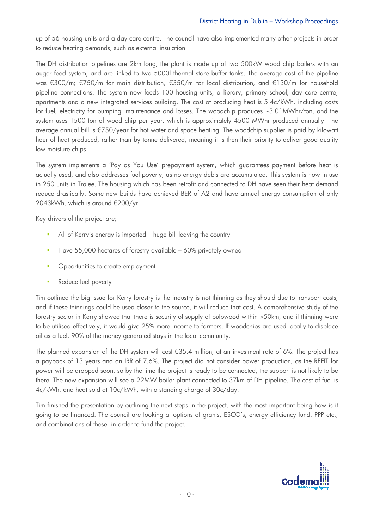up of 56 housing units and a day care centre. The council have also implemented many other projects in order to reduce heating demands, such as external insulation.

The DH distribution pipelines are 2km long, the plant is made up of two 500kW wood chip boilers with an auger feed system, and are linked to two 5000l thermal store buffer tanks. The average cost of the pipeline was  $\epsilon$ 300/m;  $\epsilon$ 750/m for main distribution,  $\epsilon$ 350/m for local distribution, and  $\epsilon$ 130/m for household pipeline connections. The system now feeds 100 housing units, a library, primary school, day care centre, apartments and a new integrated services building. The cost of producing heat is 5.4c/kWh, including costs for fuel, electricity for pumping, maintenance and losses. The woodchip produces ~3.01MWhr/ton, and the system uses 1500 ton of wood chip per year, which is approximately 4500 MWhr produced annually. The average annual bill is 750/year for hot water and space heating. The woodchip supplier is paid by kilowatt hour of heat produced, rather than by tonne delivered, meaning it is then their priority to deliver good quality low moisture chips.

The system implements a 'Pay as You Use' prepayment system, which guarantees payment before heat is actually used, and also addresses fuel poverty, as no energy debts are accumulated. This system is now in use in 250 units in Tralee. The housing which has been retrofit and connected to DH have seen their heat demand reduce drastically. Some new builds have achieved BER of A2 and have annual energy consumption of only 2043kWh, which is around  $\epsilon$ 200/yr.

Key drivers of the project are;

- All of Kerry's energy is imported huge bill leaving the country
- Have 55,000 hectares of forestry available 60% privately owned
- Opportunities to create employment
- Reduce fuel poverty

Tim outlined the big issue for Kerry forestry is the industry is not thinning as they should due to transport costs, and if these thinnings could be used closer to the source, it will reduce that cost. A comprehensive study of the forestry sector in Kerry showed that there is security of supply of pulpwood within >50km, and if thinning were to be utilised effectively, it would give 25% more income to farmers. If woodchips are used locally to displace oil as a fuel, 90% of the money generated stays in the local community.

The planned expansion of the DH system will cost  $\epsilon$ 35.4 million, at an investment rate of 6%. The project has a payback of 13 years and an IRR of 7.6%. The project did not consider power production, as the REFIT for power will be dropped soon, so by the time the project is ready to be connected, the support is not likely to be there. The new expansion will see a 22MW boiler plant connected to 37km of DH pipeline. The cost of fuel is 4c/kWh, and heat sold at 10c/kWh, with a standing charge of 30c/day.

Tim finished the presentation by outlining the next steps in the project, with the most important being how is it going to be financed. The council are looking at options of grants, ESCO's, energy efficiency fund, PPP etc., and combinations of these, in order to fund the project.

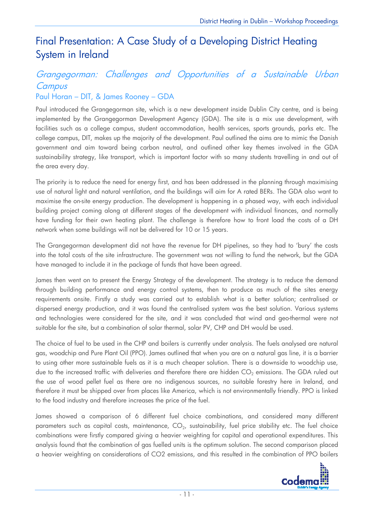## Final Presentation: A Case Study of a Developing District Heating System in Ireland

## Grangegorman: Challenges and Opportunities of a Sustainable Urban **Campus**

## Paul Horan – DIT, & James Rooney – GDA

Paul introduced the Grangegorman site, which is a new development inside Dublin City centre, and is being implemented by the Grangegorman Development Agency (GDA). The site is a mix use development, with facilities such as a college campus, student accommodation, health services, sports grounds, parks etc. The college campus, DIT, makes up the majority of the development. Paul outlined the aims are to mimic the Danish government and aim toward being carbon neutral, and outlined other key themes involved in the GDA sustainability strategy, like transport, which is important factor with so many students travelling in and out of the area every day.

The priority is to reduce the need for energy first, and has been addressed in the planning through maximising use of natural light and natural ventilation, and the buildings will aim for A rated BERs. The GDA also want to maximise the on-site energy production. The development is happening in a phased way, with each individual building project coming along at different stages of the development with individual finances, and normally have funding for their own heating plant. The challenge is therefore how to front load the costs of a DH network when some buildings will not be delivered for 10 or 15 years.

The Grangegorman development did not have the revenue for DH pipelines, so they had to 'bury' the costs into the total costs of the site infrastructure. The government was not willing to fund the network, but the GDA have managed to include it in the package of funds that have been agreed.

James then went on to present the Energy Strategy of the development. The strategy is to reduce the demand through building performance and energy control systems, then to produce as much of the sites energy requirements onsite. Firstly a study was carried out to establish what is a better solution; centralised or dispersed energy production, and it was found the centralised system was the best solution. Various systems and technologies were considered for the site, and it was concluded that wind and geo-thermal were not suitable for the site, but a combination of solar thermal, solar PV, CHP and DH would be used.

The choice of fuel to be used in the CHP and boilers is currently under analysis. The fuels analysed are natural gas, woodchip and Pure Plant Oil (PPO). James outlined that when you are on a natural gas line, it is a barrier to using other more sustainable fuels as it is a much cheaper solution. There is a downside to woodchip use, due to the increased traffic with deliveries and therefore there are hidden  $CO_2$  emissions. The GDA ruled out the use of wood pellet fuel as there are no indigenous sources, no suitable forestry here in Ireland, and therefore it must be shipped over from places like America, which is not environmentally friendly. PPO is linked to the food industry and therefore increases the price of the fuel.

James showed a comparison of 6 different fuel choice combinations, and considered many different parameters such as capital costs, maintenance,  $CO<sub>2</sub>$ , sustainability, fuel price stability etc. The fuel choice combinations were firstly compared giving a heavier weighting for capital and operational expenditures. This analysis found that the combination of gas fuelled units is the optimum solution. The second comparison placed a heavier weighting on considerations of CO2 emissions, and this resulted in the combination of PPO boilers

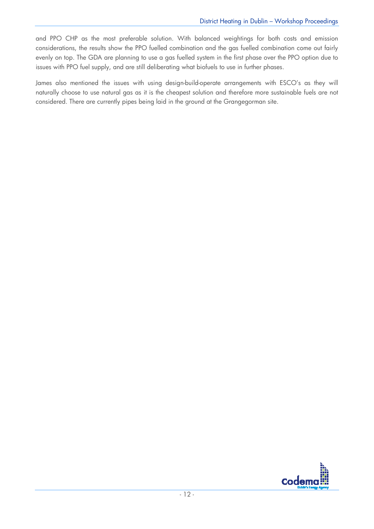and PPO CHP as the most preferable solution. With balanced weightings for both costs and emission considerations, the results show the PPO fuelled combination and the gas fuelled combination come out fairly evenly on top. The GDA are planning to use a gas fuelled system in the first phase over the PPO option due to issues with PPO fuel supply, and are still deliberating what biofuels to use in further phases.

James also mentioned the issues with using design-build-operate arrangements with ESCO's as they will naturally choose to use natural gas as it is the cheapest solution and therefore more sustainable fuels are not considered. There are currently pipes being laid in the ground at the Grangegorman site.

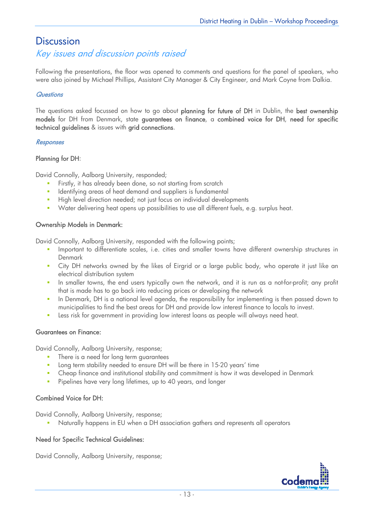## **Discussion**

## Key issues and discussion points raised

Following the presentations, the floor was opened to comments and questions for the panel of speakers, who were also joined by Michael Phillips, Assistant City Manager & City Engineer, and Mark Coyne from Dalkia.

### **Questions**

The questions asked focussed on how to go about planning for future of DH in Dublin, the best ownership models for DH from Denmark, state guarantees on finance, a combined voice for DH, need for specific technical guidelines & issues with grid connections.

### **Responses**

### Planning for DH:

David Connolly, Aalborg University, responded;

- Firstly, it has already been done, so not starting from scratch
- **IDENT** Identifying areas of heat demand and suppliers is fundamental
- High level direction needed; not just focus on individual developments
- Water delivering heat opens up possibilities to use all different fuels, e.g. surplus heat.

### Ownership Models in Denmark:

David Connolly, Aalborg University, responded with the following points;

- **IMPORTANTED IMMORGHT IMMORGHT IMMORGHT IMMORGHT IMMORGHT IMMORGHT IMMORGHT IMMORGHT IMMORGHT IMMORGHT IMMORGHT IMMORGHT IMMORGHT IMMORGHT IMMORGHT IMMORGHT IMMORGHT IMMORGHT IMMORGHT IMMORGHT IMMORGHT IMMORGHT IMMORGHT IM** Denmark
- **EXT** City DH networks owned by the likes of Eirgrid or a large public body, who operate it just like an electrical distribution system
- In smaller towns, the end users typically own the network, and it is run as a not-for-profit; any profit that is made has to go back into reducing prices or developing the network
- In Denmark, DH is a national level agenda, the responsibility for implementing is then passed down to municipalities to find the best areas for DH and provide low interest finance to locals to invest.
- **Less risk for government in providing low interest loans as people will always need heat.**

#### Guarantees on Finance:

David Connolly, Aalborg University, response;

- **There is a need for long term quarantees**
- Long term stability needed to ensure DH will be there in 15-20 years' time
- Cheap finance and institutional stability and commitment is how it was developed in Denmark
- **Pipelines have very long lifetimes, up to 40 years, and longer**

#### Combined Voice for DH:

David Connolly, Aalborg University, response;

Naturally happens in EU when a DH association gathers and represents all operators

#### Need for Specific Technical Guidelines:

David Connolly, Aalborg University, response;

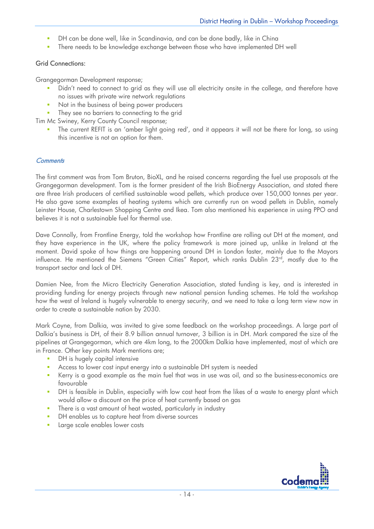- **DH** can be done well, like in Scandinavia, and can be done badly, like in China
- **There needs to be knowledge exchange between those who have implemented DH well**

### Grid Connections:

Grangegorman Development response;

- Didn't need to connect to grid as they will use all electricity onsite in the college, and therefore have no issues with private wire network regulations
- Not in the business of being power producers
- They see no barriers to connecting to the grid

Tim Mc Swiney, Kerry County Council response;

**The current REFIT is an 'amber light going red', and it appears it will not be there for long, so using** this incentive is not an option for them.

#### **Comments**

The first comment was from Tom Bruton, BioXL, and he raised concerns regarding the fuel use proposals at the Grangegorman development. Tom is the former president of the Irish BioEnergy Association, and stated there are three Irish producers of certified sustainable wood pellets, which produce over 150,000 tonnes per year. He also gave some examples of heating systems which are currently run on wood pellets in Dublin, namely Leinster House, Charlestown Shopping Centre and Ikea. Tom also mentioned his experience in using PPO and believes it is not a sustainable fuel for thermal use.

Dave Connolly, from Frontline Energy, told the workshop how Frontline are rolling out DH at the moment, and they have experience in the UK, where the policy framework is more joined up, unlike in Ireland at the moment. David spoke of how things are happening around DH in London faster, mainly due to the Mayors influence. He mentioned the Siemens "Green Cities" Report, which ranks Dublin 23<sup>rd</sup>, mostly due to the transport sector and lack of DH.

Damien Nee, from the Micro Electricity Generation Association, stated funding is key, and is interested in providing funding for energy projects through new national pension funding schemes. He told the workshop how the west of Ireland is hugely vulnerable to energy security, and we need to take a long term view now in order to create a sustainable nation by 2030.

Mark Coyne, from Dalkia, was invited to give some feedback on the workshop proceedings. A large part of Dalkia's business is DH, of their 8.9 billion annual turnover, 3 billion is in DH. Mark compared the size of the pipelines at Grangegorman, which are 4km long, to the 2000km Dalkia have implemented, most of which are in France. Other key points Mark mentions are;

- **DH** is hugely capital intensive
- **Access to lower cost input energy into a sustainable DH system is needed**
- Kerry is a good example as the main fuel that was in use was oil, and so the business-economics are favourable
- DH is feasible in Dublin, especially with low cost heat from the likes of a waste to energy plant which would allow a discount on the price of heat currently based on gas
- **There is a vast amount of heat wasted, particularly in industry**
- **•** DH enables us to capture heat from diverse sources
- **Large scale enables lower costs**

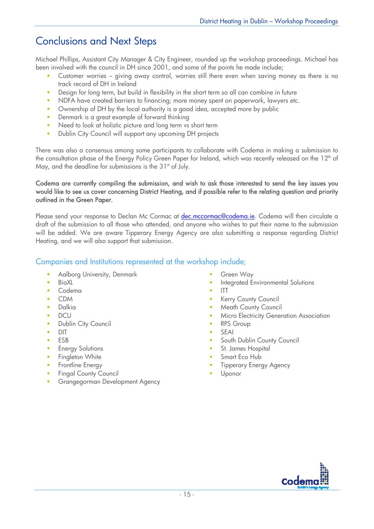## Conclusions and Next Steps

Michael Phillips, Assistant City Manager & City Engineer, rounded up the workshop proceedings. Michael has been involved with the council in DH since 2001, and some of the points he made include;

- Customer worries giving away control, worries still there even when saving money as there is no track record of DH in Ireland
- **Design for long term, but build in flexibility in the short term so all can combine in future**
- NDFA have created barriers to financing; more money spent on paperwork, lawyers etc.
- Ownership of DH by the local authority is a good idea, accepted more by public
- **Denmark is a great example of forward thinking**
- Need to look at holistic picture and long term vs short term
- **Dublin City Council will support any upcoming DH projects**

There was also a consensus among some participants to collaborate with Codema in making a submission to the consultation phase of the Energy Policy Green Paper for Ireland, which was recently released on the 12<sup>th</sup> of May, and the deadline for submissions is the  $31<sup>st</sup>$  of July.

#### Codema are currently compiling the submission, and wish to ask those interested to send the key issues you would like to see us cover concerning District Heating, and if possible refer to the relating question and priority outlined in the Green Paper.

Please send your response to Declan Mc Cormac at dec.mccormac@codema.ie. Codema will then circulate a draft of the submission to all those who attended, and anyone who wishes to put their name to the submission will be added. We are aware Tipperary Energy Agency are also submitting a response regarding District Heating, and we will also support that submission.

### Companies and Institutions represented at the workshop include;

- **Aalborg University, Denmark**
- **BioXL**
- **Codema**
- CDM
- Dalkia
- **DCU**
- **Dublin City Council**
- **DIT**
- $E$ FSB
- **Energy Solutions**
- **Fingleton White**
- **Frontline Energy**
- **Fingal County Council**
- **Grangegorman Development Agency**
- Green Way
- Integrated Environmental Solutions
- ITT
- Kerry County Council
- Meath County Council
- Micro Electricity Generation Association
- RPS Group
- SEAI
- South Dublin County Council
- St. James Hospital
- Smart Eco Hub
- Tipperary Energy Agency
- Uponor